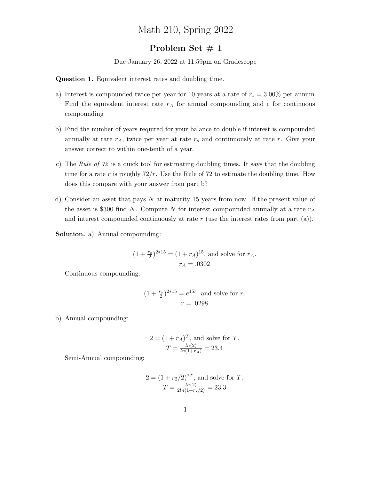## Math 210, Spring 2022

## Problem Set  $# 1$

Due January 26, 2022 at 11:59pm on Gradescope

Question 1. Equivalent interest rates and doubling time.

- a) Interest is compounded twice per year for 10 years at a rate of  $r_s = 3.00\%$  per annum. Find the equivalent interest rate  $r_A$  for annual compounding and r for continuous compounding
- b) Find the number of years required for your balance to double if interest is compounded annually at rate  $r_A$ , twice per year at rate  $r_s$  and continuously at rate r. Give your answer correct to within one-tenth of a year.
- c) The Rule of 72 is a quick tool for estimating doubling times. It says that the doubling time for a rate r is roughly  $72/r$ . Use the Rule of 72 to estimate the doubling time. How does this compare with your answer from part b?
- d) Consider an asset that pays  $N$  at maturity 15 years from now. If the present value of the asset is \$300 find N. Compute N for interest compounded annually at a rate  $r_A$ and interest compounded continuously at rate  $r$  (use the interest rates from part (a)).

Solution. a) Annual compounding:

$$
(1 + \frac{r_s}{2})^{2*15} = (1 + r_A)^{15}
$$
, and solve for  $r_A$ .  
 $r_A = .0302$ 

Continuous compounding:

$$
(1 + \frac{r_s}{2})^{2*15} = e^{15r}
$$
, and solve for r.  
 $r = .0298$ 

b) Annual compounding:

$$
2 = (1 + r_A)^T
$$
, and solve for *T*.  
\n $T = \frac{\ln(2)}{\ln(1+r_A)} = 23.4$ 

Semi-Annual compounding:

$$
2 = (1 + r_2/2)^{2T}
$$
, and solve for *T*.  

$$
T = \frac{\ln(2)}{2\ln(1 + r_s/2)} = 23.3
$$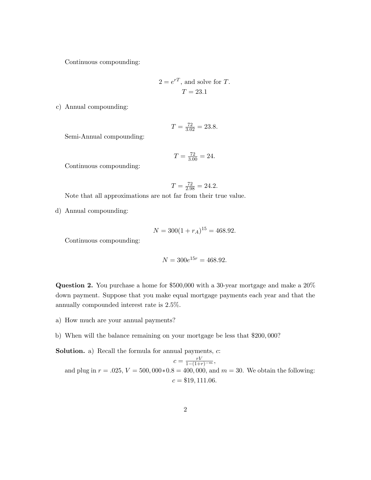Continuous compounding:

$$
2 = e^{rT}
$$
, and solve for T.  
 $T = 23.1$ 

c) Annual compounding:

$$
T = \frac{72}{3.02} = 23.8.
$$

Semi-Annual compounding:

$$
T = \frac{72}{3.00} = 24.
$$

Continuous compounding:

$$
T = \frac{72}{2.98} = 24.2.
$$

Note that all approximations are not far from their true value.

d) Annual compounding:

$$
N = 300(1 + r_A)^{15} = 468.92.
$$

Continuous compounding:

$$
N = 300e^{15r} = 468.92.
$$

Question 2. You purchase a home for \$500,000 with a 30-year mortgage and make a 20% down payment. Suppose that you make equal mortgage payments each year and that the annually compounded interest rate is 2.5%.

- a) How much are your annual payments?
- b) When will the balance remaining on your mortgage be less that \$200, 000?

**Solution.** a) Recall the formula for annual payments,  $c$ :

 $c = \frac{rV}{1-(1+r)^{-m}},$ and plug in  $r = .025$ ,  $V = 500,000*0.8 = 400,000$ , and  $m = 30$ . We obtain the following:  $c = $19, 111.06.$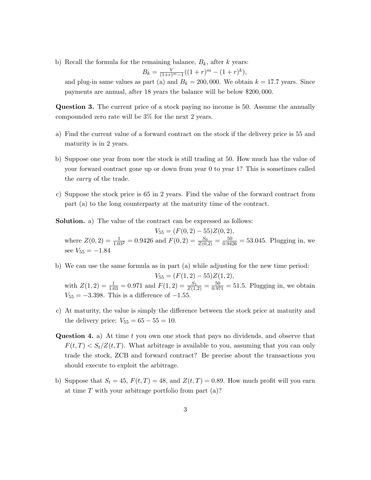b) Recall the formula for the remaining balance,  $B_k$ , after k years:

$$
B_k = \frac{V}{(1+r)^m - 1}((1+r)^m - (1+r)^k),
$$

and plug-in same values as part (a) and  $B_k = 200,000$ . We obtain  $k = 17.7$  years. Since payments are annual, after 18 years the balance will be below \$200, 000.

Question 3. The current price of a stock paying no income is 50. Assume the annually compounded zero rate will be 3% for the next 2 years.

- a) Find the current value of a forward contract on the stock if the delivery price is 55 and maturity is in 2 years.
- b) Suppose one year from now the stock is still trading at 50. How much has the value of your forward contract gone up or down from year 0 to year 1? This is sometimes called the carry of the trade.
- c) Suppose the stock price is 65 in 2 years. Find the value of the forward contract from part (a) to the long counterparty at the maturity time of the contract.

Solution. a) The value of the contract can be expressed as follows:

 $V_{55} = (F(0, 2) - 55)Z(0, 2),$ where  $Z(0, 2) = \frac{1}{1.03^2} = 0.9426$  and  $F(0, 2) = \frac{S_0}{Z(0, 2)} = \frac{50}{0.9426} = 53.045$ . Plugging in, we see  $V_{55} = -1.84$ 

b) We can use the same formula as in part (a) while adjusting for the new time period:  $V_{55} = (F(1,2) - 55)Z(1,2),$ 

with  $Z(1,2) = \frac{1}{1.03} = 0.971$  and  $F(1,2) = \frac{S_1}{Z(1,2)} = \frac{50}{0.971} = 51.5$ . Plugging in, we obtain  $V_{55} = -3.398$ . This is a difference of  $-1.55$ .

- c) At maturity, the value is simply the difference between the stock price at maturity and the delivery price:  $V_{55} = 65 - 55 = 10$ .
- Question 4. a) At time t you own one stock that pays no dividends, and observe that  $F(t,T) < S_t/Z(t,T)$ . What arbitrage is available to you, assuming that you can only trade the stock, ZCB and forward contract? Be precise about the transactions you should execute to exploit the arbitrage.
- b) Suppose that  $S_t = 45$ ,  $F(t, T) = 48$ , and  $Z(t, T) = 0.89$ . How much profit will you earn at time  $T$  with your arbitrage portfolio from part (a)?